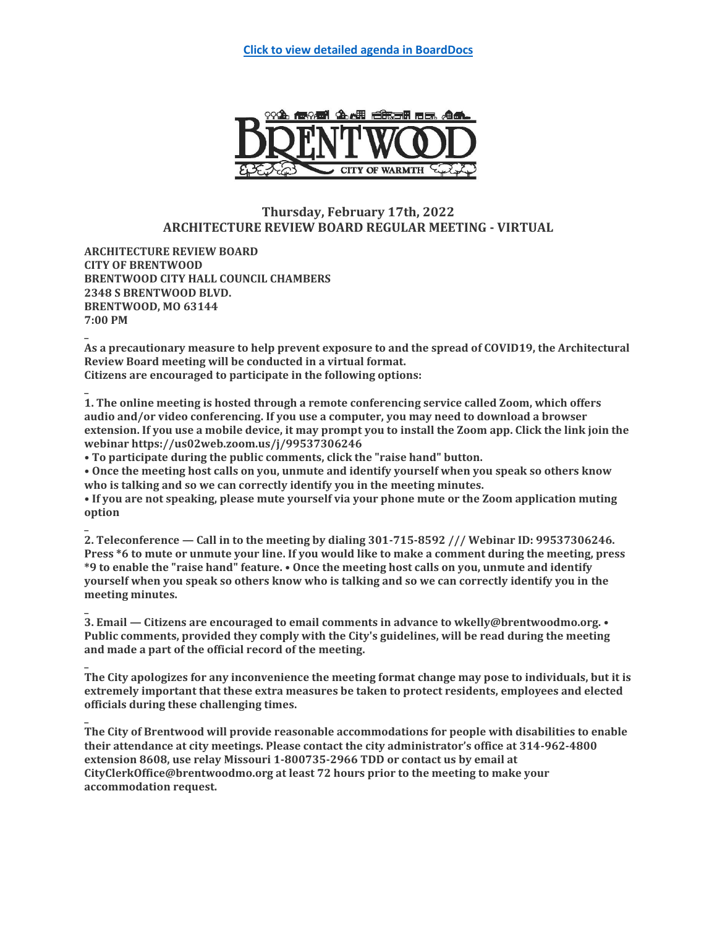

# **Thursday, February 17th, 2022 ARCHITECTURE REVIEW BOARD REGULAR MEETING - VIRTUAL**

**ARCHITECTURE REVIEW BOARD CITY OF BRENTWOOD BRENTWOOD CITY HALL COUNCIL CHAMBERS 2348 S BRENTWOOD BLVD. BRENTWOOD, MO 63144 7:00 PM**

**\_**

**\_**

**\_**

**\_ As a precautionary measure to help prevent exposure to and the spread of COVID19, the Architectural Review Board meeting will be conducted in a virtual format. Citizens are encouraged to participate in the following options:**

**\_ 1. The online meeting is hosted through a remote conferencing service called Zoom, which offers audio and/or video conferencing. If you use a computer, you may need to download a browser extension. If you use a mobile device, it may prompt you to install the Zoom app. Click the link join the webinar https://us02web.zoom.us/j/99537306246**

**• To participate during the public comments, click the "raise hand" button.**

**• Once the meeting host calls on you, unmute and identify yourself when you speak so others know who is talking and so we can correctly identify you in the meeting minutes.**

**• If you are not speaking, please mute yourself via your phone mute or the Zoom application muting option**

**2. Teleconference — Call in to the meeting by dialing 301-715-8592 /// Webinar ID: 99537306246. Press \*6 to mute or unmute your line. If you would like to make a comment during the meeting, press \*9 to enable the "raise hand" feature. • Once the meeting host calls on you, unmute and identify yourself when you speak so others know who is talking and so we can correctly identify you in the meeting minutes.**

**3. Email — Citizens are encouraged to email comments in advance to wkelly@brentwoodmo.org. • Public comments, provided they comply with the City's guidelines, will be read during the meeting and made a part of the official record of the meeting.**

**\_ The City apologizes for any inconvenience the meeting format change may pose to individuals, but it is extremely important that these extra measures be taken to protect residents, employees and elected officials during these challenging times.**

**The City of Brentwood will provide reasonable accommodations for people with disabilities to enable their attendance at city meetings. Please contact the city administrator's office at 314-962-4800 extension 8608, use relay Missouri 1-800735-2966 TDD or contact us by email at CityClerkOffice@brentwoodmo.org at least 72 hours prior to the meeting to make your accommodation request.**